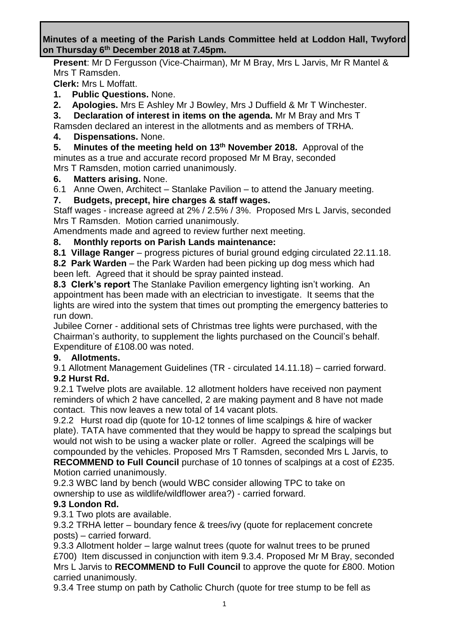**Minutes of a meeting of the Parish Lands Committee held at Loddon Hall, Twyford on Thursday 6 th December 2018 at 7.45pm.**

**Present**: Mr D Fergusson (Vice-Chairman), Mr M Bray, Mrs L Jarvis, Mr R Mantel & Mrs T Ramsden.

**Clerk:** Mrs L Moffatt.

- **1. Public Questions.** None.
- **2. Apologies.** Mrs E Ashley Mr J Bowley, Mrs J Duffield & Mr T Winchester.
- **3. Declaration of interest in items on the agenda.** Mr M Bray and Mrs T

Ramsden declared an interest in the allotments and as members of TRHA.

# **4. Dispensations.** None.

**5. Minutes of the meeting held on 13th November 2018.** Approval of the minutes as a true and accurate record proposed Mr M Bray, seconded Mrs T Ramsden, motion carried unanimously.

### **6. Matters arising.** None.

6.1 Anne Owen, Architect – Stanlake Pavilion – to attend the January meeting.

**7. Budgets, precept, hire charges & staff wages.**

Staff wages - increase agreed at 2% / 2.5% / 3%. Proposed Mrs L Jarvis, seconded Mrs T Ramsden. Motion carried unanimously.

Amendments made and agreed to review further next meeting.

### **8. Monthly reports on Parish Lands maintenance:**

**8.1 Village Ranger** – progress pictures of burial ground edging circulated 22.11.18.

**8.2 Park Warden** – the Park Warden had been picking up dog mess which had been left. Agreed that it should be spray painted instead.

**8.3 Clerk's report** The Stanlake Pavilion emergency lighting isn't working. An appointment has been made with an electrician to investigate. It seems that the lights are wired into the system that times out prompting the emergency batteries to run down.

Jubilee Corner - additional sets of Christmas tree lights were purchased, with the Chairman's authority, to supplement the lights purchased on the Council's behalf. Expenditure of £108.00 was noted.

## **9. Allotments.**

9.1 Allotment Management Guidelines (TR - circulated 14.11.18) – carried forward. **9.2 Hurst Rd.** 

9.2.1 Twelve plots are available. 12 allotment holders have received non payment reminders of which 2 have cancelled, 2 are making payment and 8 have not made contact. This now leaves a new total of 14 vacant plots.

9.2.2 Hurst road dip (quote for 10-12 tonnes of lime scalpings & hire of wacker plate). TATA have commented that they would be happy to spread the scalpings but would not wish to be using a wacker plate or roller. Agreed the scalpings will be compounded by the vehicles. Proposed Mrs T Ramsden, seconded Mrs L Jarvis, to **RECOMMEND to Full Council** purchase of 10 tonnes of scalpings at a cost of £235.

# Motion carried unanimously.

9.2.3 WBC land by bench (would WBC consider allowing TPC to take on ownership to use as wildlife/wildflower area?) - carried forward.

## **9.3 London Rd.**

9.3.1 Two plots are available.

9.3.2 TRHA letter – boundary fence & trees/ivy (quote for replacement concrete posts) – carried forward.

9.3.3 Allotment holder – large walnut trees (quote for walnut trees to be pruned £700) Item discussed in conjunction with item 9.3.4. Proposed Mr M Bray, seconded Mrs L Jarvis to **RECOMMEND to Full Council** to approve the quote for £800. Motion carried unanimously.

9.3.4 Tree stump on path by Catholic Church (quote for tree stump to be fell as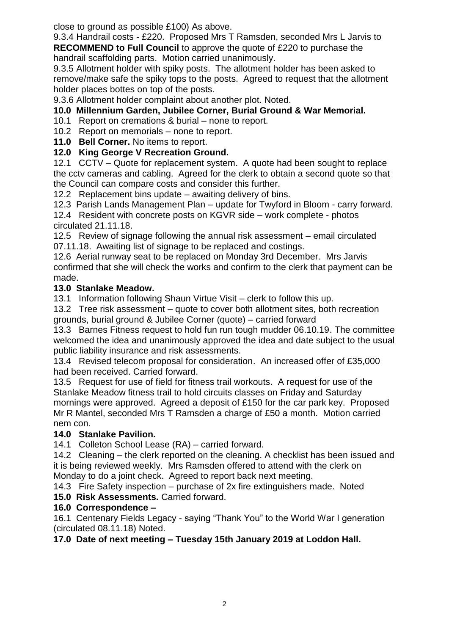close to ground as possible £100) As above.

9.3.4 Handrail costs - £220. Proposed Mrs T Ramsden, seconded Mrs L Jarvis to **RECOMMEND to Full Council** to approve the quote of £220 to purchase the handrail scaffolding parts. Motion carried unanimously.

9.3.5 Allotment holder with spiky posts. The allotment holder has been asked to remove/make safe the spiky tops to the posts. Agreed to request that the allotment holder places bottes on top of the posts.

9.3.6 Allotment holder complaint about another plot. Noted.

# **10.0 Millennium Garden, Jubilee Corner, Burial Ground & War Memorial.**

10.1 Report on cremations & burial – none to report.

10.2 Report on memorials – none to report.

**11.0 Bell Corner.** No items to report.

## **12.0 King George V Recreation Ground.**

12.1 CCTV – Quote for replacement system. A quote had been sought to replace the cctv cameras and cabling. Agreed for the clerk to obtain a second quote so that the Council can compare costs and consider this further.

12.2 Replacement bins update – awaiting delivery of bins.

12.3 Parish Lands Management Plan – update for Twyford in Bloom - carry forward.

12.4 Resident with concrete posts on KGVR side – work complete - photos circulated 21.11.18.

12.5 Review of signage following the annual risk assessment – email circulated 07.11.18. Awaiting list of signage to be replaced and costings.

12.6 Aerial runway seat to be replaced on Monday 3rd December. Mrs Jarvis confirmed that she will check the works and confirm to the clerk that payment can be made.

### **13.0 Stanlake Meadow.**

13.1 Information following Shaun Virtue Visit – clerk to follow this up.

13.2 Tree risk assessment – quote to cover both allotment sites, both recreation grounds, burial ground & Jubilee Corner (quote) – carried forward

13.3 Barnes Fitness request to hold fun run tough mudder 06.10.19. The committee welcomed the idea and unanimously approved the idea and date subject to the usual public liability insurance and risk assessments.

13.4 Revised telecom proposal for consideration. An increased offer of £35,000 had been received. Carried forward.

13.5 Request for use of field for fitness trail workouts. A request for use of the Stanlake Meadow fitness trail to hold circuits classes on Friday and Saturday mornings were approved. Agreed a deposit of £150 for the car park key. Proposed Mr R Mantel, seconded Mrs T Ramsden a charge of £50 a month. Motion carried nem con.

## **14.0 Stanlake Pavilion.**

14.1 Colleton School Lease (RA) – carried forward.

14.2 Cleaning – the clerk reported on the cleaning. A checklist has been issued and it is being reviewed weekly. Mrs Ramsden offered to attend with the clerk on Monday to do a joint check. Agreed to report back next meeting.

14.3 Fire Safety inspection – purchase of 2x fire extinguishers made. Noted

## **15.0 Risk Assessments.** Carried forward.

## **16.0 Correspondence –**

16.1 Centenary Fields Legacy - saying "Thank You" to the World War I generation (circulated 08.11.18) Noted.

**17.0 Date of next meeting – Tuesday 15th January 2019 at Loddon Hall.**